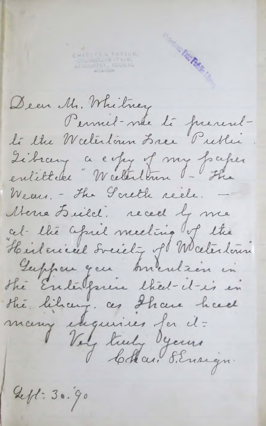H A R L E 5 S, E N S i u K , COUNSELLOR at l a w , wCUF 1 ST., ROOM 8S, o.>feJON-

*i* 'Hs

Deer Mr. Whitney Permel-me té francul- $L$ *te lhe Weelerlown Lree Pretter*  $\lambda$  chicery a e  $enlette$  W celestenn - $W$ *Leur. - The Goreth reele.* — Mone Leild. reced by me C t ^ \_ *'L b j t C \* -^h s\jL sL Csl\* -\* \ f X jtu \* . ftr -f-A U ^ X .Z ^ i / f i QjlX jLA . X t A A s ^* Gupper que burulien in *X J f t t e X ~ ' C -l* \_-/ *f* the likeur. Ces Incure many eugenes 1er cl-1 Voy truly dyeuns

*Q c f S -* **3..»«**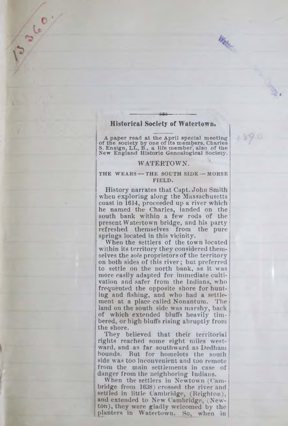# **Historical Society of Watertown**

13/10/

A paper read at the April special meeting of the society by one of its members, Charles **S. E nsign, LL, B., a life m em ber, also o f the New E ngland H istoric G en ealogical Society.**

 $1891$ 

## **WATERTOWN.**

#### **THE WEARS — THE SOUTH SIDE — MORSE FIELD.**

History narrates that Capt. John Smith when exploring along the Massachusetts coast in 1614, proceeded up a river which he named the Charles, landed on the south bank within a few rods of the present Watertown bridge, and his party refreshed themselves from the pure springs located in this vicinity.

When the settlers of the town located within its territory they considered themselves the *sole* proprietors of the territory on both sides of this river; but preferred to settle on the north bank, as it was more easily adapted for immediate cultivation and safer from the Indians, who frequented the opposite shore for hunting and fishing, and who had a settlement at a place called Nonantum. land on the south side was marshy, back of which extended bluffs heavily tim bered, or high bluffs rising abruptly from the shore.

They believed that their territorial rights reached some eight miles westward, and as far southward as Dedham bounds. But for homelots the south side was too inconvenient and too remote from the main settlements in case of danger from the neighboring Indians.

When the settlers in Newtown (Cambridge from 1638) crossed the river and settled in little Cambridge, (Brighton), and extended to New Cambridge, (Newton), they were gladly welcomed by the planters in Watertown. So, when in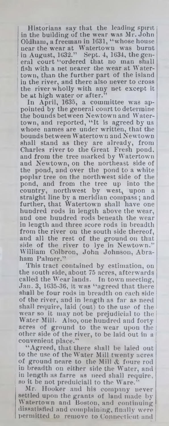Historians say that the leading spirit in the building of the wear was Mr. John Oldham, a freeman in 1631, " whose house near the wear at Watertown was burnt in August, 1632." Sept. 4, 1634, the general court "ordered that no man shall fish with a net nearer the wear at Watertown, than the further part of the island in the river, and there also never to cross the river wholly with any net except it be at high water or after."

In April, 1635, a committee was appointed by the general court to determine the bounds between Newtown and Watertown, and reported, " It is agreed by us whose names are under written, that the bounds between Watertown and Newtown shall stand as they are already, from Charles river to the Great Fresh pond, and from the tree marked by Watertown and Newtown, on the northeast side of the pond, and over the pond to a white poplar tree on the northwest side of the pond, and from the tree up into the country, northwest by west, upon a straight line by a meridian compass; and further, that Watertown shall have one hundred rods in length above the wear, and one hundred rods beneath the wear in length and three score rods in breadth from the river on the south side thereof, and all the rest of the ground on that side of the river to lye in Newtown." William Colbron, John Johnson, Abraham Palmer."

This tract contained by estimation, on the south side, about 75 acres, afterwards called the Wear lauds. In town meeting, Jan. 3, 1635-36, it was " agreed that there shall be four rods in breadth on each side of the river, and in length as far as need shall require, laid (out) to the use of the wear so it may not be prejudicial to the Water Mill. Also, one hundred and forty acres of ground to the wear upon the other side of the river, to be laid out in a convenient place."

" Agreed, that there shall be laied out to the use of the W ater Mill twenty acres of ground neare to the Mill *&* foure rod in breadth on either side the Water, and in length as farre as need shall require, so it be not preduiciall to the W are."

Mr. Hooker and his company uever settled upon the grants of land made by W atertown and Boston, and continuing dissatisfied and complaining, finally were permitted to remove to Connecticut and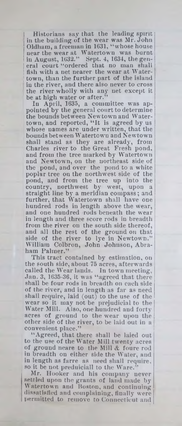Historians say that the leading spirit in the building of the wear was Air. John Oldham, a freeman in 1631, " whose house near the wear at W atertown was burnt in August, 1632." Sept. 4, 1634, the general court " ordered that no man shall fish with a net nearer the wear at Water- | town, than the further part of the island in the river, and there also never to cross the river wholly with any net except it be at high water or after.'

In April, 1635, a committee was appointed by the general court to determine the bounds betw een Newtown and Watertown, and reported, "It is agreed by us whose names are under written, that the bounds between Watertown and Newtown shall stand as they are already, from Charles river to the Great Fresh pond, and from the tree marked by Watertown and Newtown, on the northeast side of the pond, and over the pond to a white poplar tree on the northwest side of the pond, and from the tree up into the country, northwest by west, upon a straight line by a meridian compass; and further, that Watertown shall have one hundred rods in length above the wear, and one hundred rods beneath the wear in length and three score rods in breadth from the river on the south side thereof, and all the rest of the ground on that side of the river to lye in Newtown." William Colbron, John Johnson, Abraham Palmer."

This tract contained by estimation, on the south side, about 75 acres, afterwards called the Wear lands. In town meeting, Jan. 3, 1635-36, it was " agreed that there shall be four rods in breadth on each side of the river, and in length as far as need shall require, laid (out) to the use of the wear so it may not be prejudicial to the Water Mill. Also, one hundred and forty acres of ground to the wear upon the other side of the river, to be laid out in a convenient place."

"Agreed, that there shall be laied out to the use of the W ater Mill twenty acres of ground neare to the Mill & foure rod in breadth on either side the Water, and in length as farre as need shall require, so it be not preduiciall to the Ware.

Mr. Hooker and his company never settled upon the grants of land made by W atertown and Boston, and continuing dissatisfied and complaining, finally were permitted to remove to Connecticut and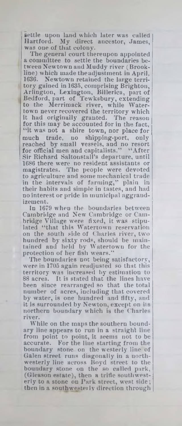settle upon land which later was called Hartford. My direct ancestor, James, was one of that colony.

The general court thereupon appointed a committee to settle the boundaries between Newtown and Muddy river (Brookline) which made the adjustment in April, 1636. Newtown retained the laige territory gained in 1635, comprising Brighton, Arlington, Lexington, Billerica, part of Bedford, part of Tewksbury, extending to the Merrimack river, while Watertown never recovered the territory which it had originally granted. The reason for this may be accounted for in the fact, "it was not a shire town, nor place for much trade, no shipping-port, only reached by small vessels, and no resort for official men and capitalists." "After Sir Richard Saltonstall's departure, until 1686 there were no resident assistants or magistrates. The people were devoted to agriculture and some mechanical trade in the intervals of farming," plain in their habits and simple in tastes, and had no interest or pride in municipal aggrandizement.

In 1679 w hen the boundaries between Cambridge and New Cambridge or Cambridge Village were fixed, it was stipulated "that this Watertown reservation on the south side of Charles river, two hundred by sixty rods, should be maintained and held by W atertown for the protection of her fish wears."

The boundaries not being satisfactory, were in 1705 again readjusted so that this territory was increased by estimation to 88 acres. It is stated that the lines have been since rearranged so that the total number of acres, including that covered by water, is one hundred and fifty, and it is surrounded by Newton, except on its northern boundary which is the Charles river.

While on the maps the southern boundary line appears to run in a straight line from point to point, it seems not to be accurate. For the line starting from the boundary stone on the westerly line of Galen street runs diagonally in a northwesterly line across Boyd street to the boundary stone on the so called park, (Gleason estate), then a trifle southwesterly to **a** stone on Park street, west side; then in a southwesterly direction through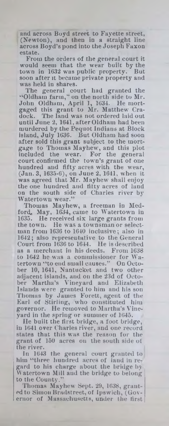and across Boyd street to Fayette street, (Newton), and then in a straight line across Boyd's pond into the Joseph Faxon estate.

From the orders of the general court it would seem that the wear built by the town in 1632 was public property. But soon after it became private property and was held in shares.

The general court had granted the ''Oldham farm ," on the north side to Mr. John Oldham, April 1, 1634. He mortgaged this grant to Mr. Matthew Cradock. The land was not ordered laid out until June 2, 1641, after Oldham had been murdered by the Pequot Indians at Block island, July 1636. But Oldham had soon after sold this grant subject to the mortgage to Thomas Mayhew, and this plot included the wear. For the general court confirmed the town's grant of one hundred and fifty acres with the wear, (Jan. 3, 1635-6), on June 2, 1641, when it was agreed that Mr. Mayhew' shall enjoy the one hundred and fifty acres of land on the south side of Charles river by Watertown wear."

Thomas Mayhew, a freeman in Medford, May, 1634, came to Watertown in 1635. He received six large grants from the town. He was a townsman or selectman from 1636 to 1640 inclusive; also in 1642; also representative to the General Court from 1636 to 1644. He is described as a merchant in his deeds. From 1638 to 1642 he was a commissioner for Watertown " to end small causes." On October 10, 1641, Nantucket and two other adjacent islands, and on the 23d of October Martha's Vineyard and Elizabeth Islands were granted to him and his son Thomas by James Forett, agent of the Earl of Stirling, who constituted him governor. He removed to Martha's Vineyard in the spring or summer of 1645.

He built the first bridge, a foot bridge, in 1641 over Charles river, and one record states that this was the reason for the grant of 150 acres on the south side of the river.

In 1643 the general court granted to him "three hundred acres of land in regard to his charge about the bridge by Watertown Mill and the bridge to belong to the County."

Thomas Mayhew Sept. 29, 1638, granted to Simon Bradstreet, of Ipswich, (Governor of Massachusetts, under the first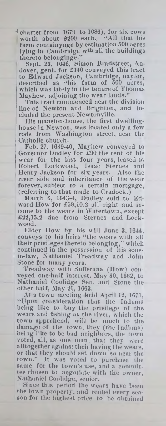$\cdot$  charter from 1679 to 1686), for six cows worth about \$200 each, " All that his farm coutainynge by estimation 500 acres lying in Cambridge w<sup>th</sup> all the buildings thereto belonginge."

Sept. 23, 1646, Simon Bradstreet, Andover, gent, for £140 conveyed this tract to Edward Jackson, Cambridge, naylor, described as "his farm of 500 acres, which was lately in the tenure of Thomas Mayhew, adjoining the wear lauds."

This tract commenced near the division line of Newton and Brighton, and included the present Newtonville.

His mansion-house, the first dwellinghouse in Newton, was located only a few rods from Washington street, near the Catholic church.

Feb. 27, 1639-40, Mayhew conveyed to Governor Dudley for £90 the rent of his wear for the last four years, leased to Robert Lockwood, Isaac Sternes and Henry Jackson for six years. Also the river side and inheritance of the wear forever, subject to a certain mortgage, (referring to that made to Cradock.)

March 6, 1643-4, Dudley sold to Edward How for £59,10.2 all right and income to the wears in Watertown, except £22,15,2 due from Sternes and Lockwood.

Elder How by his will June 3, 1644, conveys to his heirs "the wears with all their privileges thereto belonging," which continued in the possession of his sonsin-law, Nathaniel Treadway and John Stone for many years.

Treadway with Sufferana (How) conveyed one-half interest, May 30, 1662, to Nathaniel Coolidge Sen. and Stone the other half, May 26, 1663.

At a town meeting held April 12, 1671, "Upon consideration that the Indians being like to buy the privilege of the wears and fishiug at the river, which the town apprehend, will be much to the damage of the town, they (the Indians) being like to be bad neighbors, the town voted, all, as one man, that they were alltogether against their having the wears, or that they should set down so near the town." It was voted to purchase the same for the town's use, and a committee chosen to negotiate with the owner, Nathaniel Coolidge, senior.

Since this period the wears have been the town property, and rented every season for the highest price to be obtained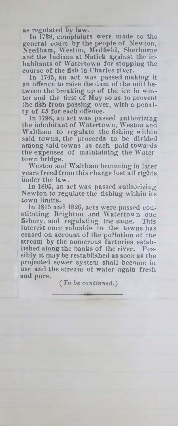as regulated by law.

In 1738, complaints were made to the general court by the people of Newton, Needham, Weston, Medfield, Sherburne and the Indians at Natick against the inhabitants of Watertown for stopping the course of the fish in Charles river.

In 1745, an act was passed making it an offence to raise the dam of the mill between the breaking up of the ice in winter and the first of May so as to prevent the fish from passing over, with a penalty of £5 for each offence.

In 1798, an act was passed authorizing the inhabitant of Watertown, Weston and Waltham to regulate the fishing within said towns, the proceeds to be divided among said towns as each paid towards the expenses of maintaining the Watertown bridge.

Weston aud Waltham becoming in later years freed from this charge lost all rights under the law.

In 1805, an act was passed authorizing Newton to regulate the fishing within its town limits.

In 1815 and 1826, acts were passed constituting Brighton and Watertown one fishery, and regulating the same. This interest once valuable to the towns has ceased on account of the pollution of the stream by the numerous factories established along the banks of the river. Possibly it may be reestablished as soon as the projected sewer system shall become in use and the stream of water again fresh and pure.

*{To be continued.)*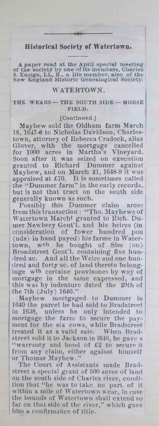## **Historical Society of Watertown**

A paper read at the April special meeting<br>of the society by one of its members, Charles<br>S. Ensign, LL, B., a life member, also of the<br>New England Historic Genealogical Society.

## WATERTOWN.

**THE WEARS — THE SOUTH SIDE — MORSE FIELD.**

#### **[C ontinued.]**

Mayhew sold the Oldharu farm March 18, 1647-8 to Nicholas Davidson, Charlestown, attorney of Rebecca Cradock, alias Glover, with the mortgage cancelled<br>for 1000 acres in Martha's Vineyard. for 1000 acres in Martha's Soon after it was seized on execution granted to Richard Dummer against Mayhew, and on March 21, 1648-9 it was appraised at  $£70.$  It is sometimes called the "Dummer farm" in the early records, : but is not that tract on the south side generally known as such.

Possibly this Dummer claim arose from this transaction : "Tho. Mayhewe of W atertown Marcht granted to Rich. Dumer Newbery Geut'l. and his heires (in consideration of fower hundred pou (nds) in hand payed) his farme in Watertown, wch he bought of Sim (on) Broadstreet Gent'l. containing five hundred ac. And all the Weire and one hundred and forty ac. of land thereto belonginge w<sup>th</sup> certaine provisones by way of mortgage in the same expressed, and this was by indenture dated the 29th of the 7th  $(\text{July})$  1640."

Mayhew mortgaged to Dummer in 1640 the parcel he had sold to Bradstreet iu 1638, unless he only intended to mortgage the farm to secure the payment for the six cows, while Bradstreet treated it as a valid sale. When Bradstreet sold it to Jackson in 1646, he gave a "warranty and bond of  $E2$  to secure it from any claim, either against himself or Thomas Mayhew."

The Court of Assistants made Bradstreet a special grant of 500 acres of land on the south side of Charles river, condition that "he was to take no part of it w ithin a mile of W atertown wear, in case the bounds of Watertown shall extend so far on that side of the river," which gave him a confirmance of title.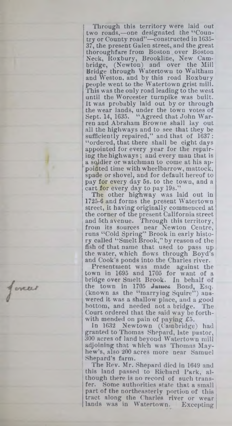Through this territory were laid out two roads,-one designated the "Country or County road"—constructed in 1635- 37, the present Galen street, and the great thoroughfare from Boston over Boston Neck, Koxbury, Brookline, New Cambridge, (Newton) and over the Mill Bridge through Watertown to Waltham and Weston, and by this road Koxbury people went to the W atertown grist mill. This was the only road leading to the west until the Worcester turnpike was built. It was probably laid out by or through the wear lands, under the town votes of Sept. 14, 1635. "Agreed that John Warren and Abraham Browne shall lay out all the highways and to see that they be sufficiently repaired," and that of 1637: " ordered, that there shall be eight days appointed for every year for the repairing the highw ays; and every man that is a soldier or watchman to come at his appointed time with wheelbarrow, mattock, spade or shovel, and for default hereof to pay for every day 5s. to the town, and a cart for every day to pay 19s."

The other highway was laid out in 1725-6 and forms the present Watertown street, it having originally commenced at the corner of the present California street and 5th avenue. Through this territory, from its sources near Newton Centre, runs " Cold Spring" Brook in early history called " Smelt Brook," by reason of the fish of that name that used to pass up the water, which flows through Boyd's and Cook's ponds into the Charles river.

Presentment was made against the town in 1695 and 1705 for want of a bridge over Smelt Brook. In behalf of the town in 1705 James Boud, Esq. (known as the "marrying Squire") answered it was a shallow place, and a good bottom, and needed not a bridge. The Court ordered that the said way be forthwith mended on pain of paying  $\pounds$ 5.

In 1632 Newtown (Cambridge) had granted to Thomas Shepard, late pastor, 300 acres of land beyond W atertown mill adjoining that w hich was Thomas Mayhew's, also 200 acres more near Samuel Shepard's farm.

The Rev. Mr. Shepard died in 1649 and this land passed to Richard Park, although there is no record of such transfer. Some authorities state that a small part of the northeasterly portion of this tract along the Charles river or wear lands was in Watertown. Excepting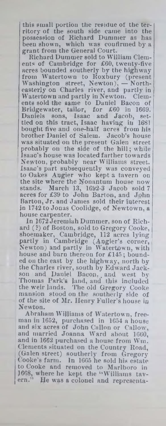this small portiou the residue of the territory of the south side came into the possession of Richard Dummer as has been shown, which was confirmed by a grant from the General Court.

Richard Dummer sold to William Clements of Cambridge for £60, twenty-five acres bounded southerly by the highway from Watertown to Roxbury (present Washington street, Newton), — Northeasterly on Charles river, and partly in Watertown and partly in Newton. Clements sold the same to Daniel Bacon of Bridgewater, tailor, for £60 in 1669. Daniels sons, Isaac and Jacob, settled on this tract, Isaac having in 1681 bought five and one-half acres from his brother Daniel of Salem. Jacob's house was situated on the present Galen street probably on the side of the hill; while Isaac's house was located farther towards Newton, probably near Williams street. Isaac's part subsequently was conveyed to Oakes Apgier who kept a tavern on the site where the Nonantum house now stands. March 13, 1692-3 Jacob sold 7 acres for £39 to John Barton, and John Barton, Jr. and James sold their interest in 1742 to Jonas Coolidge, of Newtown, a house carpenter.

In 1672 Jerem iah Dummer, son of Richard (?) of Boston, sold to Gregory Cooke, shoemaker, Cambridge, 112 acres lying partly in Cambridge (Angier's corner, Newton) and partly in Watertown, with house and barn thereon for £145; bounded on the east by the highway, north by the Charjes river, south by Edward Jackson and Daniel Bacon.. and west by Thomas Park's land, and this included the weir lands. The old Gregory Cooke mansion stood on the southerly side of of the site of Mr. Henry Fuller's house in Newton.

Abraham Williams of Watertown, freeman in 1652, purchased in 1654 a house and six acres of John Gallon or Callow, and married Joanna Ward about 1660, and in 1662 purchased a house from Win. Clements situated on the Country Road, (Galen street) southerly from Gregory Cooke's farm. In 1665 he sold his estate to Cooke and removed to Marlboro in 1668, where he kept the "Williams tav-<br>ern." He was a colonel and representa-He was a colonel and representa-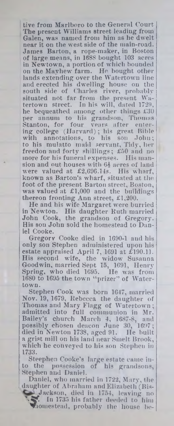tive from Marlboro to the General Court The present Williams street leading from Galen, was named from him as he dwelt near it on the west side of the main-road. James Barton, a rope-maker, in Boston of large means, in 1688 bought 103 acres in Newtown, a portion of which bounded on the Mavhew farm. He bought other lands extending over the Watertown line and erected his dwelling house on the south side of Charles river, probably situated not far from the present Watertown street. In his will, dared 1729, he bequeathed among other things £30 per annum to his grandson, Thomas Stanton, for four vears after entering college (Harvard); his great Bible with annotations, to his son John; to his mulatto maid servant, Tidy, her freedon and forty shillings; £50 and no more for his funeral expenses. His mansion and out houses with 64 acres of land were valued at £2,696.14s. His wharf, known as Barton's wharf, situated at the foot of the present Barton street, Boston, was valued at £1,000 and the buildings thereon fronting Ann street, £1,200.

He and his wife Margaret were burried in Newton. His daughter Ruth married John Cook, the grandson of Gregory. His son John sold the homestead to Daniel Cooke.

Gregory Cooke died in 1690-1 and his only son Stephen administered upon his estate appraised April 7, 1691 at £190.11. His second wife, the widow Susanna Goodwin, married Sept 15, 1691, Henry Spriog, who died 1695. He was from 1680 to 1695 the town "prizer" of Watertown.

Stephen Cook was born 1647, married Nov. 19, 1679, Rebecca the daughter of Thomas and Mary Flagg of Watertown; admitted into full communion in Mr. Bailey's church March 4, 1687-8, and possibly chosen deacon June 30, 1697; died in Newton 1738, aged 91. He built a grist mill on his land near Smelt Brook, which he conveyed to his son Stephen in 1733.

Steephen Cooke's large estate came into the possession of his grandsons, Stephen and Daniel.

Daniel, who married in 1722, Mary, the daughter of Abraham and Elizabeth (Bis-

Jackson, died in 1754, leaving no . In 1735 his father deeded to him  $\blacktriangledown$ homestead, probably the house be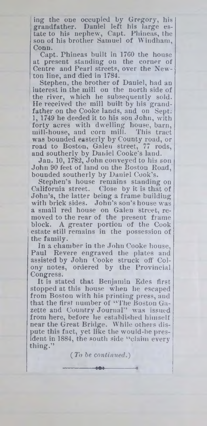ing the one occupied by Gregory, his grandfather. Daniel left his large estate to his nephew, Capt. Phineas, the son of his brother Samuel of Windham, Conn.

Capt. Phineas built in 17G0 the house at present standing ou the corner of Centre and Pearl streets, over the Newton line, and died in 1784.

Stephen, the brother of Daniel, had an iuterest in the mill ou the north side of the river, which he subsequently sold. He received the mill built by his grandfather on the Cooke lands, and on Sept. 1, 1749 he deeded it to his son John, with forty acres with dwelling house, barn, mill-house, and corn mill. This tract was bounded easterly by County road, or road to Boston, Galen street, 77 rods, and southerly by Daniel Cooke's land.

Jan. 10, 1782, John conveyed to his son John 90 feet of land on the Boston Road, bouuded southerly by Daniel Cook's.

Stephen's house remains standing on California street. Close by it is that of John's, the latter being a frame building with brick sides. John's son's house was a small red house on Galen street, removed to the rear of the present frame block. A greater portion of the Cook estate still remains in the possession of the family.

In a chamber in the John Cooke house, Paul Revere engraved the plates and assisted by John Cooke struck off Colony notes, ordered by the Provincial Congress.

It is stated that Benjamin Edes first stopped at this house when he escaped from Bostou with his printing press, and that the first number of " The Boston Gazette and Country Journal" was issued from here, before he established himself near the Great Bridge. While others dispute this fact, yet like the would-be president in 1884, the south side "claim every" thing."

> (To *be continued.)* ---------------------------Ml--------------------------«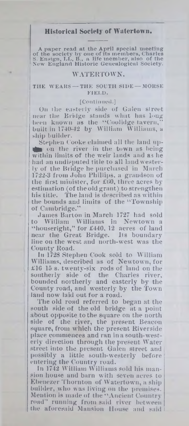# **Historical Society of Watertown.**

A paper read at the April special meeting<br>of the society by one of its members, Charles<br>S. Ensign, LL, B., a life member, also of the<br>New England Historic Genealogical Society.

### WATERTOWN.

#### **I THE W EARS— THE SOUTH SIDE — MORSE FIELD.**

#### **[C ontinued.]**

On ihe easterly side of Galen street near tlie **Bridge** stands what lias bmg been known as the " C'oolidge tavern," built in 1740-42 by William Williams, a ship builder.

Stephen Cooke claimed all the land up- $\mathbf{t}$  on the river in the town as being within limits of the weir lands and as he had an undisputed title to all land westerly of the Bridge he purchased in March 1722-3 from John Phillips, a grandson of the first minister, for £60, three acres by estimation (of the old grant) to strengthen his title. The land is described as within the bounds and limits of the " Township of Cambridge."

Jam es Barton in March 1727 had sold to William Williams in Newtown a " houseright," for £440, 12 acres of land near the Great Bridge. Its boundary line on the west and north-west was the County Road.

In 1728 Stephen Cook sold to William Williams, described as of Newtown, for £16 15 s. twenty-six rods of land on the southerly side of the Charles river, bounded northerly and easterly by the County road, and westerly by the Town land now laid out for a road.

The old road referred to began at the south side of the old bridge at a point about opposite to the square on the north side of the river, the present Beacon square, from which the present Riverside place commences and ran in a south-westerly direction through the present Water street into the present Galen street and possibly a little south-westerly before entering the Country road.

In 1742 William Williams sold his mansion house and barn with seven acres to Ebeuezer Thornton of W atertown, a ship builder, who was living on the premises. Mention is made of the "Ancient Country road" running from said river between the aforesaid Mansion House and said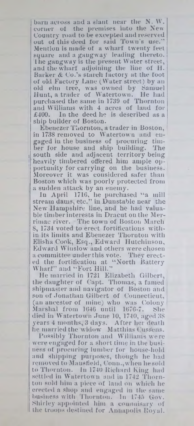barn across and a slant near the N. W. corner ot the premises into the New Country road to be excepted and reserved out of this deed for said Town's use." Mention is made of a wharf twenty feet square and a gangway leading thereto, lhe gangway is the present Water street, and the wharf adjoining the line of H. Barker & Co.'s starch factory at the foot of old Factory Lane (Water street) by an old elm tree, was owned by Samuel Hunt, a trader of Watertown. He had purchased the same in 1739 of Thornton and Williams with 4 acres of land for £400. In the deed he is described as a ship builder of Boston.

Ebenezer Thornton, a trader in Boston, in 1738 removed to Watertown and engaged in the business of procuring timber for house and ship building. The south side and adjacent territory being heavily timbered offered him ample opportunity for carrying on the business. Moreover it was considered safer than Boston which was poorly protected from a sudden attack by an enemy.

In April 1716, he purchased "a mill stream dams, etc." in Dunstable near the New Hampshire line, and he had valuable timber interests in Dracut on the Merrimac river. The town of Boston March 8, 1734 voted to erect fortifications within its limits and Ebenezer Thornton with Elisha Cook, Esq., Edward Hutchinson, Edward Winslow and others were chosen a committee under this vote. They erected the fortification at " North Battery Wharf" and "Fort Hill."

He married in 1721 Elizabeth Gilbert, the daughter of Capt. Thomas, a famed shipmaster and navigator of Boston and son of Jonathan Gilbert of Connecticut, (an ancestor of mine) who was Colony Marshal from 1646 until 1676-7. She died in Watertown June 10, 1740, aged 38 years 4 months, 3 days. After her death he married the widow Matthias Cussens.

Possibly Thornton and Williams were were engaged for a short time in the business of procuring lumber for house-hold and shipping purposes, though he had removed to Mansfield, Conn., when lie sold to Thornton. In 1740 Richard King had settled in Watertown and in 1742 Thornton sold him a piece of laud on which he erected a shop and engaged in the same business with Thornton. In 1745 Gov. Shirley appointed him a commisary of the troops destined for Annapolis Royal.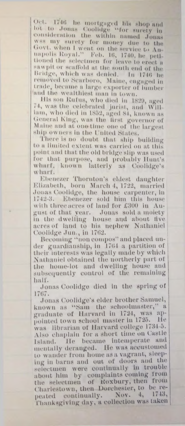**< >rl' 1-1,5 he mortgaged IiIh shop and** lot to Jonas Coolidge "for surety in consideration the within named Jonas **wsm my surety for money due to the** Govt, when I went on the service to An**iui|miI1m lloyal." Feb. Ili, 1710, lie peti** tioned the selectmen for leave to erect a  $\tan$ wpit or scaffold at the south end of the Bridge, which was denied. In 1746 he removed to Searboro, Maine, engaged in trade, became a large exporter of lumber and the wealthiest man in town.

His son Rufus, who died in 1829, aged 71, was the celebrated jurist, and William, who died in 1852, aged 81, known as General King, was the first governor of Maine and at one time one of the largest ship owners in the United States.

**There is no doubt that, ship building** to a limited extent was carried on at this **point and that tho old hidden slip was used lor that pnrposu, and probably Hunt's wharf, known latterly as Coolidgc's w hart.**

**Ebenezer Thornton's eldest daughter Kli/.ahoih, horn March 4, 1722, married Jonas Coolidgc, the house carpenter, in 1712-0. ICheni'zer sold him this house** with three acres of land for £300 in Au**gust of that year. Jonas sold a moiety in the dwelling house and about live acres of land to his nephew Nathaniel ( 'oolldgo .Inn., in 1702.**

**becoming ''non compos" and placed un**der guardianship, in 1764 a partition of **their interests was legally made by which Nathaniel obtained the northerly part of the home-lot. and dwelling house and subsequently control of the remaining half.**

**Jonas t 'oolidge died in the .spring of 1707.**

**Jonas Coolidgc's elder brother Samuel, known as " Sam the schoolmaster," a graduate of Harvard in 1721, was ap**pointed town school master in 1725. He **w as librarian of Harvard college 1701 3. Also chaplain for a short lime on Castle Island. He became intemperate and mentally deranged, lie was accustomed to w ander from home as a vagrant, sleep**ing in barns and out of doors and the **selectmen were continually in trouble about him by complaints coming from the selectmen of Koxbury, then from Charlestow n, then Dorchester, to be\_ repeated continually. Nov. 4, 1740, Thanksgiving day, a collection was taken**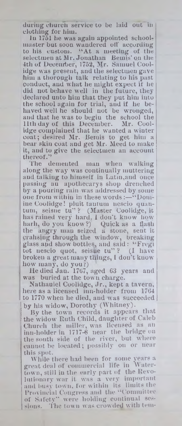during church service to be laid out in clothing for him.

in 1751 he was again appointed schoolmaster but soon wandered oil' according to his custom. " At a meeting of the selectmen at Mr. Jonathan Bemis' on the 4th of December, 1752, Mr. Samuel Coolidge was present, and the selectmen gave him a thorough talk relating to his past conduct, and what he might expect if he did not behave well in the future, they declared unto him that they put him into the school again for trial, and if he behaved well he should not be wronged, and that he was to begin the school the 11th day of this December. Mr. Coolidge complained that he wanted a winter coat; desired Mr. Bemis to get him a bear skin coat and get Mr. Meed to make it, and to give the selectmen an account thereof."

man when walking along the way was continually muttering and talking to himself in Latin,and once passing an apothecarys shop drenched by a pouring rain was addressed by some one from within in these words :—"Domine Coolidge! pluit tantum nescio quantum, seisne tu"? (Master Coolidge, it has rained very hard, 1 don't know how hath, do you know?) Quick as a flash the angry man seized a stone, sent it crahsing through the window, breaking glass apd show bottles, and said : " Fregi tot nescio quot, seisue tu" ? (1 have broken a great many things, I don't know how many, do you f)

He died Jan. 1767, aged 63 years and was buried at the town charge.

Nathauiel Coolidge, Jr., kept a tavern, here as a lieeused inn-holder from 1704 to 1770 when he died, and was succeeded | by his widow, Dorothy (Whitney).

By the town records it appears that the widow Ruth Child, daughter of Caleb Church the miller, was licensed as an inn-holder in 1717-6 near the bridge on the south side of the river, but where cannot be located; possibly on or near this spot.

While there had been for some years a great deal of commercial life in IN atertown, still in the early part of the Revolutionary war it was a very important and busy town, for within its limits the Provincial Congress and the " Committee of Safety" were holding continual sessions. The town was crowded with tem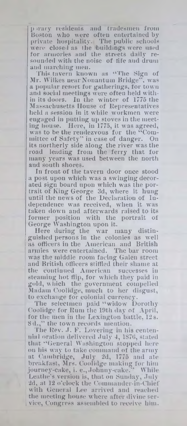p irary residents and tradesmen from Boston who were often entertained by private hospitality. The public schools were closed as the buildings were used for armories and the streets daily resounded with the noise of fife aud drum and marching men.

This tavern known as "The Sign of Mr. Wilkes near Nonantuui Bridge", was a popular resort for gatherings, for town and social meetings were often held within its doors. In the winter of 1775 the Ma ssachusetts House of Representatives held a session in it while workmen were engaged in putting up stoves in the meeting house. Here, in 1775, it was agreed, was to be the rendezvous for the "Committee of Safety" in case of danger. On its northerly side along the river was the road leading from the ferry that for many years was used between the north and south shores.

In front of the tavern door once stood a post upon which was a swinging decorated sign board upon which was the portrait ot King George 3d, where it hung until the news of the Declaration of Independence was received, when it was taken down and afterwards raised to its former position with the portrait of George Washington upon it.

Here during the war many distinguished persons in the colonies as well as officers in the American and British armies were entertained. The bar room was the middle room facing Galen street and British officers stiffied their shame at the continued American successes in steaming hot flip, for which they paid in gold, which the government compelled Madam Coolidge, much to her disgust, to exchange for colonial currency.

The selectmen paid "widow Dorothy Coolidge for Bum the 19th day of April, for the men in the Lexington battle, 12 s. 8d.," the town records mention.

The Kev. J. F. Lovering in his centennial oration delivered July 4, 1876, stated that " General Washington stopped here on his way to take command of the army at Cambridge, July 2d, 1775 and ate breakfast, Mrs. Coolidge makiug for him journey-cake, i. e., Johnny-cake." Leathe's version is, that on Sunday, July 2d, at 12 o'clock the Commander-in-Chief with General Lee arrived and reached the meeting house where after divine service, Congress assembled to receive him.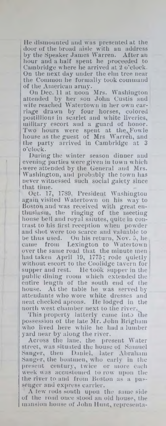lie dismounted and was presented at the door of the broad aisle with an address by the Speaker James Warren. After an hour and a half spent he proceeded to Cambridge where he arrived at 2 o'clock. On the next day under the elm tree near the Common he formally took command of the American army.

On Dec. 11 at noon Mrs. Washington attended by her sou John Custis aud wife reached W atertown in her own carriage drawn by four horses, colored postillions in scarlet and white liveries, military escort aud a guard of honor. Two hours were spent at the Fowle house as the guest of Mrs Warren, and the party arrived in Cambridge at 3 o'clock.

During the winter season diuuer and evening parties were given in town which • were attended by the General and Mrs. Washington, and probably the town has never witnessed such social gaiety since

that time.<br>Oct. 17, 1789, President Washington again visited Watertown on his way to Boston and was received with great enthusiasm, the ringing of the meeting house bell and royal salutes, quite in contrast to his first reception when powder and shot were too scarce and valuable to be thus used. On his return, Nov. 5, he came from Lexington to Watertown over the same road that the minute men had taken April 19, 1775; rode quietly without escort to the Coolidge tavern for supper and rest. He took supper in the public dining room which extended the entire length of the south end of the house. At the table he was served by attendants who wore white dresses and neat checked aprons. He lodged in the north west chamber next to the river.

This property latterly came into the possession of the late Mr. John Brigham who lived here while he had a lumber yard near by along the river.

Across the lane, the present Water street, was situated the house of Samuel Sanger, theu Daniel, later Abraham Sanger, the boatmen, who early in the present century, twice or more each week was accustomed to row upon the the river to and from Boston as a passenger and express carrier.

A few rods south upon the same side of the road once stood an old house, the mansion house of John Hunt, representa-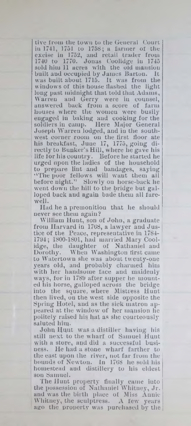tive from the town to the General Court in 1741, 1751 to 1758; a farmer of the excise in 1752, and retail trader from 1740 to 1770. Jonas Coolidge iu 1745 sold him 11 acres with the old mansion<br>built and occupied by James Barton. It built and occupied by James Barton. was built about 1715. It was from the windows of this house flashed the light long past midnight that told that Adams, Warren and Gerry were in counsel, answered back from a score of farm houses where the women were busily engaged in baking and cooking for the soldiers iu camp. Here Major General Joseph W arren lodged, and iu the southwest corner room on the first floor ate his breakfast, June 17, 1775, going directly to Bunker's Hill, where he gave his life for his country. Before he started he urged upon the ladies of the household to prepare lint and bandages, saying "The poor fellows will want them all before night." Slowly on horse-back he went down the hill to the bridge but galloped back and again bade them all farewell.

Had he a premonition that he should never see them again?

William Hunt, son of John, a graduate from Harvard in 1768, a lawyer and Justice of the Peace, representative in 1784- 1794; 1800-1801, had married Mary Coolidge, the daughter of Nathaniel and Dorothy. When Washington tirst came to Watertown she was about twenty-one years old, and probably charmed him with her handsome face and maidenly ways, for in 1789 after supper he mounted his horse, galloped across the bridge into the square, where Mistress Hunt then lived, on the west side opposite the Spring Hotel, and as the sick matron appeared at the window of her mansion he politely raised his haf as she courteously saluted him.

John Hunt was a distiller having his still next to the wharf of Samuel Hunt with a store, and did a successful business. He had a stone wharf farther to the east upon the river, not far from the bounds of Newton. In 1708 he sold his homestead aud distillery to his eldest son Samuel.

The Hunt property finally came into the possession of Nathaniel Whitney, Jr. and was the birth place of Miss Annie Whitney, the sculptress.  $A$  few years ago the property was purchased by the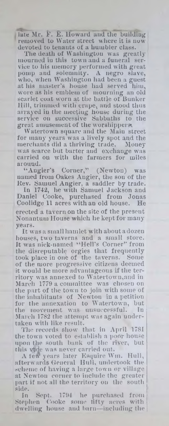late Mr. F. E. Howard and the building removed to Water street where it is now devoted to tenants of a humbler class.

The death of Washington was greatly mourned iu this town and a funeral service to his memory performed with great pomp and solemnity. A negro slave, who, when Washington had been a guest at his master's house had served him, wore as his emblem of mourning an old scarlet coat worn at the battle of Bunker Hill, trimmed with crape, and stood thus arrayed in the meeting house during the service on successive Sabbaths to the great amusement of the worshippers.

Watertown square and the Main street for many years was a lively spot and the<br>merchants did a thriving trade. Money merchants did a thriving trade. was scarce but barter and exchange was carried on with the farmers for miles around.

"Angier's Corner," (Newton) was named from Oakes Angier, the sou of the Kev. Samuel Angier, a saddler by trade.

1742, he with Samuel Jackson and Daniel Cooke, purchased from Jonas Coolidge 11 acres with an old house. He erected a tavern on the site of the present Nonantum House which he kept for many years.

It was a small hamlet with about a dozen houses, two taverns and a small store. It was nick-named "Hell's Corner" from the disreputable orgies that frequently took place in one of the taverns. Some of the more progressive citizens deemed it would be more advantageous if the territory was annexed to W atertown,and in March 1779 a committee was chosen on the part of the town to join with some of the inhabitants of Newton in a petition for the annexation to Watertown, but the movement was unsuccessful. In March 1782 the attempt was again undertaken with like result.

The records show that in April 1781 the town voted to establish a poor house upon the south bank of the river, but this vide was never carried out.

A lew years later Esquire Wm. Hull, afterw ards General Hull, undertook the scheme of having a large town or village at Newton corner to include the greater part if not all the territory on the south side.

In Sept.  $1794$  he purchased from  $\pm$ Stephen Cooke some fifty acres with dwelling house and barn—including the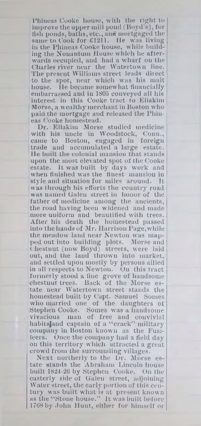Phineas Cooke house, with the right to improve the upper mill pond (Boyd's), for fish ponds, baths, etc., and mortgaged the same to Cook for £1211. He was living in the Phineas Cooke house, while building the Nouantum House which he afterwards occupied, and had a wharf on the Charles river near the W atertown line. The present Williams street leads direct to the spot, near which was his malt house. He became somewhat financially embarrassed and in 1805 conveyed all his interest in this Cooke tract to Eliakim Morse, a wealthy merchant in Boston who j paid the mortgage and released the Phiueas Cooke homestead.

Dr. Eliakim Morse studied medicine with his uncle in Woodstock, Conn., came to Boston, engaged in foreign trade and accumulated a large estate. He built the colonial mansion that stands upon the most elevated spot of the Cooke estate. It was built by days work and when finished was the finest mansion in style and situation for miles around. It was through his efforts the country road was named Galen street in honor of the father of medicine among the ancients, the road having been widened and made more uniform and beautified with trees. After his death the homestead passed into the hands of Mr. Harrison Page,while the meadow land near Newton was mapped out into building plots. Morse and Chestnut (now Bovd) streets, were laid out, and the land thrown into market, and settled upon mostly by persons allied in all respects to Newton. On this tract formerly stood a fine grove of handsome chestnut trees. Back of the Morse estate near Watertown street stands the homestead built by Capt. Samuel Somes who married one of the daughters of Stephen Cooke. Somes was a handsome vivacious man of free and convivial habitsjand captain of a " crack" military company in Boston known as the Fusileers. Once the company had a field day on this territory which attracted a great crowd from the surrounding villages.

Next northerly to the Dr. Morse estate stands the Abraham Lincoln house built 1824-26 by Stephen Cooke. On the easterly side of Galen street, adjoining Water street, the early portion of this century was built what is at present known as the "Stone house." It was built before 1768 by John Hunt, either for himself or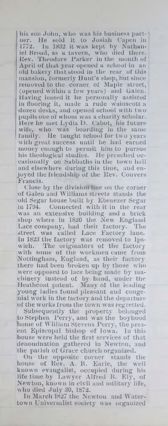his son John, who was his business part-1  $\mathop{\bf n{er.}}$  He sold it to Josiah Capen in  $\mathop{\rm l{}}$ 1772. Ju 1832 it was kept by Nathaniel Broad, as a tavern, who died there, **<sup>j</sup>** Rev. Theodore Barker in the month of **<sup>j</sup>** April of that year opened a school in an old bakery that stood in the rear of this mansion, formerly Hunt's shop, but since removed to the corner, of Maple street, (opeued within a few years) and Galen. Having leased it he personally assisted in flooring it, made a rude wainscott a dozen desks, and opened school with two pupils oue of whom was a charity scholar. Here he met Lydia D. Cabot, his future wife, who was boarding in the same family. He taught school for two years with great success until he had earned money enough to permit him to pursue his theological studies. He preached occasionally on Sabbaths in the town hall and elsewhere during this time, and enjoyed the friendship of the Rev. Con vers Francis.

Close by the division line on the corner of Galeu and Williams streets stands the old Segar house built by Ebeuezer Segar in 1794. Connected with it in the rear was an extensive building and a brick shop where in 1820 the New England Lace company, had their factory. The street was called Lace Factory lane. In 1823 the factory was removed to 1pswich. The originators of the factory with some of the workmen came from Nottingham, England, as their factory there had been broken up by those who were opposed to lace being made by machinery instead of by hand, under the Heathcoat patent. Many of the leading young ladies found pleasant aud congenial work in the factory and the departure of the works from the town was regretted.

Subsequently the property belonged to Stephen Perry, and was the boyhood home of William Stevens Perry, the present Episcopal bishop of Iowa. In this house were held the first services of that denomination gathered in Newton, aud the parish of Grace church organized.

On the opposite corner stands the house of Rev. A. B. Earle, the well known evangalist, occupied during his life time by Lawyer Alfred B. Ely, of Newton, known in civil and military life, who died July 30, 1872.

In March 1827 the Newton aud W atertown Universalist society was organized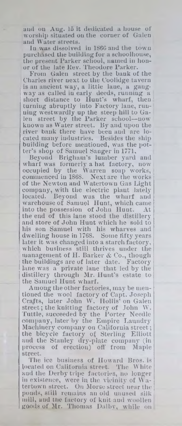and on Aug. 15 it dedicated a house of worship situated on the corner of Galen and Water streets.

In was dissolved in I860 and the town purchased the building for a schoolhouse, the present Parker school, named in honor of the late Rev. Theodore Parker.

From Galen street by the bank of the Charles river next to the Coolidge tavern is an ancient way, a little lane, a gangway as called in early deeds, running a short distance to Hunt's wharf, then turning abruptly into Factory lane, running westwardly up the steep hill to Galen street by the Parker school--now known as Water street. By and upon the river bank there have been and are located many industries. Besides the ship building before mentioned, was the potter's shop of Samuel Sanger in 1771.

Beyond Brigham's lumber yard and wharf was formerly a hat factory, now' occupied by the Warren soap works, commenced in 1868. Next are the works of the Newton and Watertown Gas Light company, with the electric plant lately located. Beyond was the wharf and warehouse of Samuel Hunt, which came<br>into the possession of John Hunt. At into the possession of John Hunt. the end of this lane stood the distillery and store of John Hunt which he sold to his son Samuel with his wharves and dwelling house in 1768. Some fifty years later it was changed into a starch factory, which business still thrives under the management of H. Barker & Co., though the buildings are of later date. Factory lane was a private lane that led by the distillery through Mr. Hunt's estate to the Samuel Hunt wharf.

Among the other factories, may be mentioned the wool factory of Capt. Joseph Crafts, later John W. Hollis' on Galen street; the knitting factory of John W. Tuttle, succeeded by the Porter Needle company, later by the Empire Laundry Machinery company on California street; the bicycle factory of Sterling Elliott and the Stanley dry-plate company (in process of erection) off from Maple street.

The ice business of Howard Bros, is located on California street. The White aud the Derby tripe factories, no longer in existence, were in the vicinity of  $Wa$ tertown street. Ou Morse street near the ponds, still remains an old unused silk mill, and the factory of knit aud woollen goods of Mr. Thomas Dalby, while on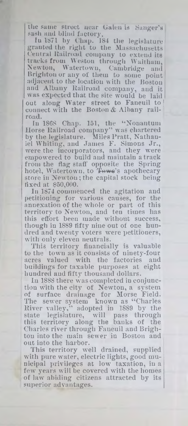the same street near Calen is Sanger's sash and blind factory.

lu 1871 by Chap. 184 the legislature granted the right to the Massachusetts Central Railroad company to extend its tracks from Weston through Waltham, Newton, Watertown, Cambridge and Brighton or any of them to some point adjacent to the location with the Boston and Albany Railroad company, and it w as expected that the site would be laid out along Water street to Faneuil to connect with the Boston & Albany railroad.

In 1868 Chap. 151, the "Nonantum Horse Railroad company" was chartered by the legislature. Miles Pratt, Nathaniel Whiting, and James F. Simons Jr., were the incorporators, and they were empowered to build and maintain a track from the flag staff opposite the Spring hotel, Watertown, to Towe's apothecary store in Newton; the capital stock being fixed at \$50,000.

In 1874 commenced the agitation and petitioning for various causes, for the annexation of the whole or part of this territory to Newton, and ten times has this effort been made without success, though in 1889 fifty nine out of one hundred and twenty voters were petitioners, with only eleven neutrals.

This territory financially is valuable to the town as it consists of ninety-four acres valued with the factories and buildings for taxable purposes at eight hundred aud fifty thousand dollars.

In 1888 there was completed in conjunction with the city of Newton, a system of surface drainage for Morse Field, The sewer system known as "Charles" River valley," adopted in 1889 by the state legislature, will pass through this territory along the banks of the Charles river through Faueuil aud Brighton into the main sewer in Boston aud out iuto the harbor.

This territory well drained, supplied with pure water, electric lights, good municipal privileges at low taxation, in a few years will be covered with the homes of law abiding citizens attracted by its superior advantages.